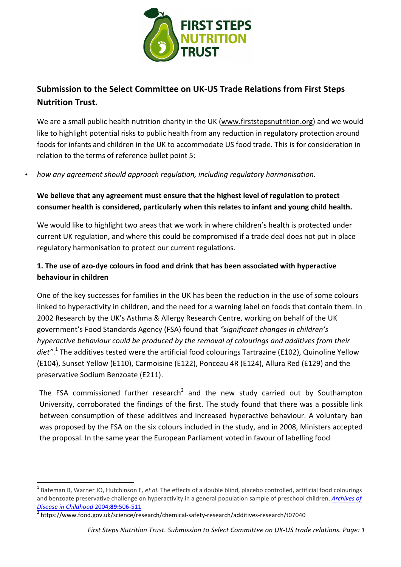

# **Submission to the Select Committee on UK-US Trade Relations from First Steps Nutrition Trust.**

We are a small public health nutrition charity in the UK (www.firststepsnutrition.org) and we would like to highlight potential risks to public health from any reduction in regulatory protection around foods for infants and children in the UK to accommodate US food trade. This is for consideration in relation to the terms of reference bullet point 5:

• *how any agreement should approach regulation, including regulatory harmonisation*.

# We believe that any agreement must ensure that the highest level of regulation to protect consumer health is considered, particularly when this relates to infant and young child health.

We would like to highlight two areas that we work in where children's health is protected under current UK regulation, and where this could be compromised if a trade deal does not put in place regulatory harmonisation to protect our current regulations.

# **1.** The use of azo-dye colours in food and drink that has been associated with hyperactive **behaviour** in children

One of the key successes for families in the UK has been the reduction in the use of some colours linked to hyperactivity in children, and the need for a warning label on foods that contain them. In 2002 Research by the UK's Asthma & Allergy Research Centre, working on behalf of the UK government's Food Standards Agency (FSA) found that "significant changes in children's *hyperactive behaviour could be produced by the removal of colourings and additives from their* diet".<sup>1</sup> The additives tested were the artificial food colourings Tartrazine (E102), Quinoline Yellow (E104), Sunset Yellow (E110), Carmoisine (E122), Ponceau 4R (E124), Allura Red (E129) and the preservative Sodium Benzoate (E211).

The FSA commissioned further research<sup>2</sup> and the new study carried out by Southampton University, corroborated the findings of the first. The study found that there was a possible link between consumption of these additives and increased hyperactive behaviour. A voluntary ban was proposed by the FSA on the six colours included in the study, and in 2008, Ministers accepted the proposal. In the same year the European Parliament voted in favour of labelling food

<sup>&</sup>lt;sup>1</sup> Bateman B, Warner JO, Hutchinson E, et al. The effects of a double blind, placebo controlled, artificial food colourings and benzoate preservative challenge on hyperactivity in a general population sample of preschool children. *Archives of Disease in Childhood* 2004;**89:**506-511<br><sup>2</sup> https://www.food.gov.uk/science/research/chemical-safety-research/additives-research/t07040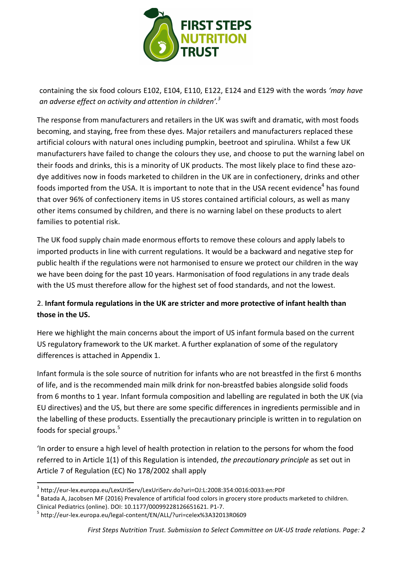

containing the six food colours E102, E104, E110, E122, E124 and E129 with the words 'may have an adverse effect on activity and attention in children'.<sup>3</sup>

The response from manufacturers and retailers in the UK was swift and dramatic, with most foods becoming, and staying, free from these dyes. Major retailers and manufacturers replaced these artificial colours with natural ones including pumpkin, beetroot and spirulina. Whilst a few UK manufacturers have failed to change the colours they use, and choose to put the warning label on their foods and drinks, this is a minority of UK products. The most likely place to find these azodye additives now in foods marketed to children in the UK are in confectionery, drinks and other foods imported from the USA. It is important to note that in the USA recent evidence<sup>4</sup> has found that over 96% of confectionery items in US stores contained artificial colours, as well as many other items consumed by children, and there is no warning label on these products to alert families to potential risk.

The UK food supply chain made enormous efforts to remove these colours and apply labels to imported products in line with current regulations. It would be a backward and negative step for public health if the regulations were not harmonised to ensure we protect our children in the way we have been doing for the past 10 years. Harmonisation of food regulations in any trade deals with the US must therefore allow for the highest set of food standards, and not the lowest.

# 2. Infant formula regulations in the UK are stricter and more protective of infant health than **those in the US.**

Here we highlight the main concerns about the import of US infant formula based on the current US regulatory framework to the UK market. A further explanation of some of the regulatory differences is attached in Appendix 1.

Infant formula is the sole source of nutrition for infants who are not breastfed in the first 6 months of life, and is the recommended main milk drink for non-breastfed babies alongside solid foods from 6 months to 1 year. Infant formula composition and labelling are regulated in both the UK (via EU directives) and the US, but there are some specific differences in ingredients permissible and in the labelling of these products. Essentially the precautionary principle is written in to regulation on foods for special groups.<sup>5</sup>

'In order to ensure a high level of health protection in relation to the persons for whom the food referred to in Article 1(1) of this Regulation is intended, *the precautionary principle* as set out in Article 7 of Regulation (EC) No 178/2002 shall apply

 $^3$  http://eur-lex.europa.eu/LexUriServ/LexUriServ.do?uri=OJ:L:2008:354:0016:0033:en:PDF<br> $^4$  Batada A, Jacobsen MF (2016) Prevalence of artificial food colors in grocery store products marketed to children.

Clinical Pediatrics (online). DOI: 10.1177/00099228126651621. P1-7.<br>  $5$  http://eur-lex.europa.eu/legal-content/EN/ALL/?uri=celex%3A32013R0609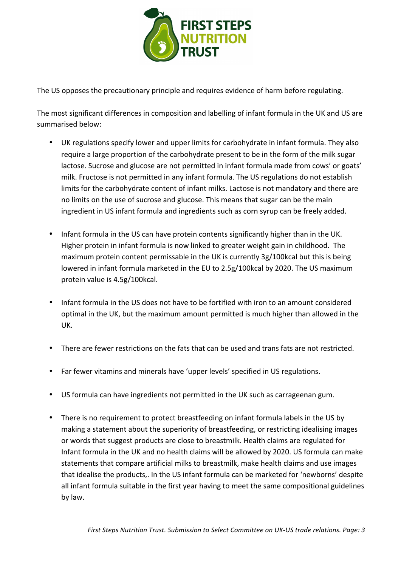

The US opposes the precautionary principle and requires evidence of harm before regulating.

The most significant differences in composition and labelling of infant formula in the UK and US are summarised below:

- UK regulations specify lower and upper limits for carbohydrate in infant formula. They also require a large proportion of the carbohydrate present to be in the form of the milk sugar lactose. Sucrose and glucose are not permitted in infant formula made from cows' or goats' milk. Fructose is not permitted in any infant formula. The US regulations do not establish limits for the carbohydrate content of infant milks. Lactose is not mandatory and there are no limits on the use of sucrose and glucose. This means that sugar can be the main ingredient in US infant formula and ingredients such as corn syrup can be freely added.
- Infant formula in the US can have protein contents significantly higher than in the UK. Higher protein in infant formula is now linked to greater weight gain in childhood. The maximum protein content permissable in the UK is currently 3g/100kcal but this is being lowered in infant formula marketed in the EU to 2.5g/100kcal by 2020. The US maximum protein value is 4.5g/100kcal.
- Infant formula in the US does not have to be fortified with iron to an amount considered optimal in the UK, but the maximum amount permitted is much higher than allowed in the UK.
- There are fewer restrictions on the fats that can be used and trans fats are not restricted.
- Far fewer vitamins and minerals have 'upper levels' specified in US regulations.
- US formula can have ingredients not permitted in the UK such as carrageenan gum.
- There is no requirement to protect breastfeeding on infant formula labels in the US by making a statement about the superiority of breastfeeding, or restricting idealising images or words that suggest products are close to breastmilk. Health claims are regulated for Infant formula in the UK and no health claims will be allowed by 2020. US formula can make statements that compare artificial milks to breastmilk, make health claims and use images that idealise the products,. In the US infant formula can be marketed for 'newborns' despite all infant formula suitable in the first year having to meet the same compositional guidelines by law.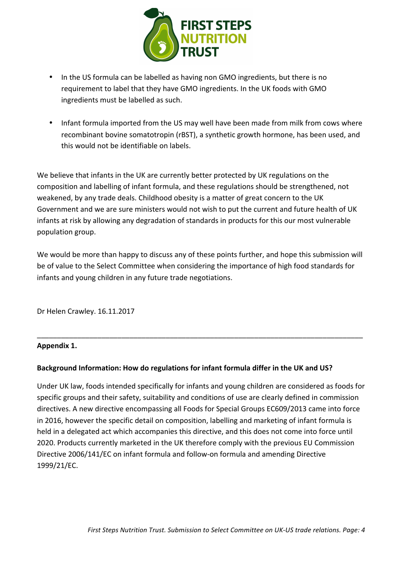

- In the US formula can be labelled as having non GMO ingredients, but there is no requirement to label that they have GMO ingredients. In the UK foods with GMO ingredients must be labelled as such.
- Infant formula imported from the US may well have been made from milk from cows where recombinant bovine somatotropin (rBST), a synthetic growth hormone, has been used, and this would not be identifiable on labels.

We believe that infants in the UK are currently better protected by UK regulations on the composition and labelling of infant formula, and these regulations should be strengthened, not weakened, by any trade deals. Childhood obesity is a matter of great concern to the UK Government and we are sure ministers would not wish to put the current and future health of UK infants at risk by allowing any degradation of standards in products for this our most vulnerable population group.

We would be more than happy to discuss any of these points further, and hope this submission will be of value to the Select Committee when considering the importance of high food standards for infants and young children in any future trade negotiations.

\_\_\_\_\_\_\_\_\_\_\_\_\_\_\_\_\_\_\_\_\_\_\_\_\_\_\_\_\_\_\_\_\_\_\_\_\_\_\_\_\_\_\_\_\_\_\_\_\_\_\_\_\_\_\_\_\_\_\_\_\_\_\_\_\_\_\_\_\_\_\_\_\_\_\_\_\_\_\_\_\_

Dr Helen Crawley. 16.11.2017

### **Appendix 1.**

### Background Information: How do regulations for infant formula differ in the UK and US?

Under UK law, foods intended specifically for infants and young children are considered as foods for specific groups and their safety, suitability and conditions of use are clearly defined in commission directives. A new directive encompassing all Foods for Special Groups EC609/2013 came into force in 2016, however the specific detail on composition, labelling and marketing of infant formula is held in a delegated act which accompanies this directive, and this does not come into force until 2020. Products currently marketed in the UK therefore comply with the previous EU Commission Directive 2006/141/EC on infant formula and follow-on formula and amending Directive 1999/21/EC.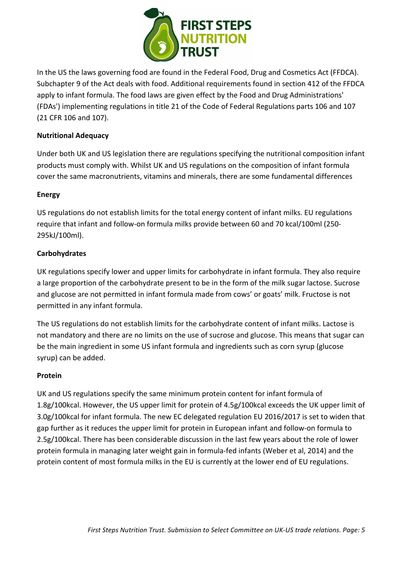

In the US the laws governing food are found in the Federal Food, Drug and Cosmetics Act (FFDCA). Subchapter 9 of the Act deals with food. Additional requirements found in section 412 of the FFDCA apply to infant formula. The food laws are given effect by the Food and Drug Administrations' (FDAs') implementing regulations in title 21 of the Code of Federal Regulations parts 106 and 107 (21 CFR 106 and 107). 

### **Nutritional Adequacy**

Under both UK and US legislation there are regulations specifying the nutritional composition infant products must comply with. Whilst UK and US regulations on the composition of infant formula cover the same macronutrients, vitamins and minerals, there are some fundamental differences

### **Energy**

US regulations do not establish limits for the total energy content of infant milks. EU regulations require that infant and follow-on formula milks provide between 60 and 70 kcal/100ml (250-295kJ/100ml). 

### **Carbohydrates**

UK regulations specify lower and upper limits for carbohydrate in infant formula. They also require a large proportion of the carbohydrate present to be in the form of the milk sugar lactose. Sucrose and glucose are not permitted in infant formula made from cows' or goats' milk. Fructose is not permitted in any infant formula.

The US regulations do not establish limits for the carbohydrate content of infant milks. Lactose is not mandatory and there are no limits on the use of sucrose and glucose. This means that sugar can be the main ingredient in some US infant formula and ingredients such as corn syrup (glucose syrup) can be added.

### **Protein**

UK and US regulations specify the same minimum protein content for infant formula of 1.8g/100kcal. However, the US upper limit for protein of 4.5g/100kcal exceeds the UK upper limit of 3.0g/100kcal for infant formula. The new EC delegated regulation EU 2016/2017 is set to widen that gap further as it reduces the upper limit for protein in European infant and follow-on formula to 2.5g/100kcal. There has been considerable discussion in the last few years about the role of lower protein formula in managing later weight gain in formula-fed infants (Weber et al, 2014) and the protein content of most formula milks in the EU is currently at the lower end of EU regulations.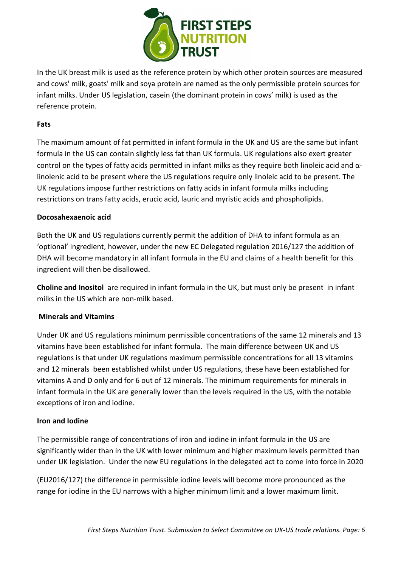

In the UK breast milk is used as the reference protein by which other protein sources are measured and cows' milk, goats' milk and soya protein are named as the only permissible protein sources for infant milks. Under US legislation, casein (the dominant protein in cows' milk) is used as the reference protein.

### **Fats**

The maximum amount of fat permitted in infant formula in the UK and US are the same but infant formula in the US can contain slightly less fat than UK formula. UK regulations also exert greater control on the types of fatty acids permitted in infant milks as they require both linoleic acid and  $\alpha$ linolenic acid to be present where the US regulations require only linoleic acid to be present. The UK regulations impose further restrictions on fatty acids in infant formula milks including restrictions on trans fatty acids, erucic acid, lauric and myristic acids and phospholipids.

### **Docosahexaenoic acid**

Both the UK and US regulations currently permit the addition of DHA to infant formula as an 'optional' ingredient, however, under the new EC Delegated regulation 2016/127 the addition of DHA will become mandatory in all infant formula in the EU and claims of a health benefit for this ingredient will then be disallowed.

**Choline and Inositol** are required in infant formula in the UK, but must only be present in infant milks in the US which are non-milk based.

### **Minerals and Vitamins**

Under UK and US regulations minimum permissible concentrations of the same 12 minerals and 13 vitamins have been established for infant formula. The main difference between UK and US regulations is that under UK regulations maximum permissible concentrations for all 13 vitamins and 12 minerals been established whilst under US regulations, these have been established for vitamins A and D only and for 6 out of 12 minerals. The minimum requirements for minerals in infant formula in the UK are generally lower than the levels required in the US, with the notable exceptions of iron and iodine.

### **Iron and Iodine**

The permissible range of concentrations of iron and iodine in infant formula in the US are significantly wider than in the UK with lower minimum and higher maximum levels permitted than under UK legislation. Under the new EU regulations in the delegated act to come into force in 2020

(EU2016/127) the difference in permissible iodine levels will become more pronounced as the range for iodine in the EU narrows with a higher minimum limit and a lower maximum limit.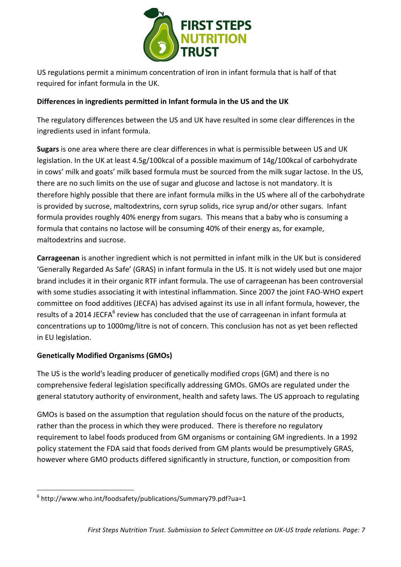

US regulations permit a minimum concentration of iron in infant formula that is half of that required for infant formula in the UK.

### Differences in ingredients permitted in Infant formula in the US and the UK

The regulatory differences between the US and UK have resulted in some clear differences in the ingredients used in infant formula.

**Sugars** is one area where there are clear differences in what is permissible between US and UK legislation. In the UK at least 4.5g/100kcal of a possible maximum of 14g/100kcal of carbohydrate in cows' milk and goats' milk based formula must be sourced from the milk sugar lactose. In the US, there are no such limits on the use of sugar and glucose and lactose is not mandatory. It is therefore highly possible that there are infant formula milks in the US where all of the carbohydrate is provided by sucrose, maltodextrins, corn syrup solids, rice syrup and/or other sugars. Infant formula provides roughly 40% energy from sugars. This means that a baby who is consuming a formula that contains no lactose will be consuming 40% of their energy as, for example, maltodextrins and sucrose.

**Carrageenan** is another ingredient which is not permitted in infant milk in the UK but is considered 'Generally Regarded As Safe' (GRAS) in infant formula in the US. It is not widely used but one major brand includes it in their organic RTF infant formula. The use of carrageenan has been controversial with some studies associating it with intestinal inflammation. Since 2007 the joint FAO-WHO expert committee on food additives (JECFA) has advised against its use in all infant formula, however, the results of a 2014 JECFA<sup>6</sup> review has concluded that the use of carrageenan in infant formula at concentrations up to 1000mg/litre is not of concern. This conclusion has not as yet been reflected in EU legislation.

### **Genetically Modified Organisms (GMOs)**

<u> 1989 - Jan Samuel Barbara, margaret e</u>

The US is the world's leading producer of genetically modified crops (GM) and there is no comprehensive federal legislation specifically addressing GMOs. GMOs are regulated under the general statutory authority of environment, health and safety laws. The US approach to regulating

GMOs is based on the assumption that regulation should focus on the nature of the products, rather than the process in which they were produced. There is therefore no regulatory requirement to label foods produced from GM organisms or containing GM ingredients. In a 1992 policy statement the FDA said that foods derived from GM plants would be presumptively GRAS, however where GMO products differed significantly in structure, function, or composition from

 $6$  http://www.who.int/foodsafety/publications/Summary79.pdf?ua=1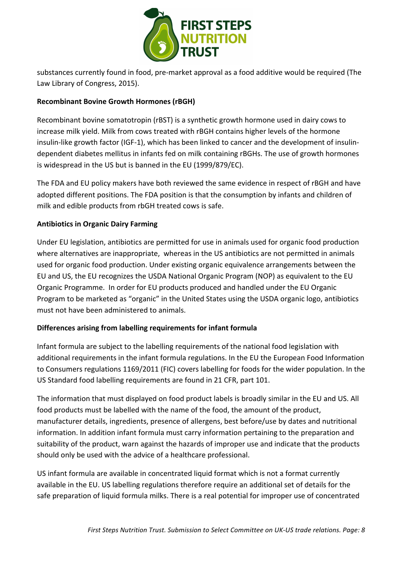

substances currently found in food, pre-market approval as a food additive would be required (The Law Library of Congress, 2015).

### **Recombinant Bovine Growth Hormones (rBGH)**

Recombinant bovine somatotropin (rBST) is a synthetic growth hormone used in dairy cows to increase milk yield. Milk from cows treated with rBGH contains higher levels of the hormone insulin-like growth factor (IGF-1), which has been linked to cancer and the development of insulindependent diabetes mellitus in infants fed on milk containing rBGHs. The use of growth hormones is widespread in the US but is banned in the EU (1999/879/EC).

The FDA and EU policy makers have both reviewed the same evidence in respect of rBGH and have adopted different positions. The FDA position is that the consumption by infants and children of milk and edible products from rbGH treated cows is safe.

### **Antibiotics in Organic Dairy Farming**

Under EU legislation, antibiotics are permitted for use in animals used for organic food production where alternatives are inappropriate, whereas in the US antibiotics are not permitted in animals used for organic food production. Under existing organic equivalence arrangements between the EU and US, the EU recognizes the USDA National Organic Program (NOP) as equivalent to the EU Organic Programme. In order for EU products produced and handled under the EU Organic Program to be marketed as "organic" in the United States using the USDA organic logo, antibiotics must not have been administered to animals.

### **Differences arising from labelling requirements for infant formula**

Infant formula are subject to the labelling requirements of the national food legislation with additional requirements in the infant formula regulations. In the EU the European Food Information to Consumers regulations 1169/2011 (FIC) covers labelling for foods for the wider population. In the US Standard food labelling requirements are found in 21 CFR, part 101.

The information that must displayed on food product labels is broadly similar in the EU and US. All food products must be labelled with the name of the food, the amount of the product, manufacturer details, ingredients, presence of allergens, best before/use by dates and nutritional information. In addition infant formula must carry information pertaining to the preparation and suitability of the product, warn against the hazards of improper use and indicate that the products should only be used with the advice of a healthcare professional.

US infant formula are available in concentrated liquid format which is not a format currently available in the EU. US labelling regulations therefore require an additional set of details for the safe preparation of liquid formula milks. There is a real potential for improper use of concentrated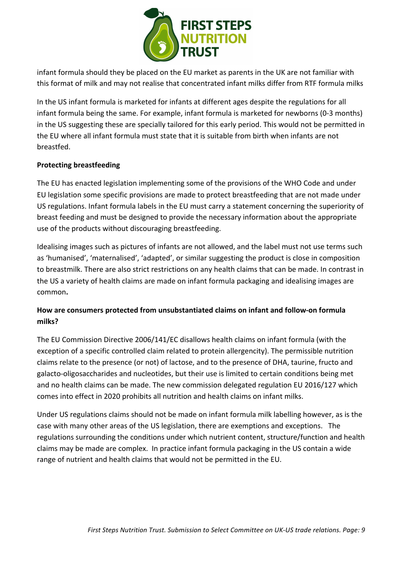

infant formula should they be placed on the EU market as parents in the UK are not familiar with this format of milk and may not realise that concentrated infant milks differ from RTF formula milks

In the US infant formula is marketed for infants at different ages despite the regulations for all infant formula being the same. For example, infant formula is marketed for newborns (0-3 months) in the US suggesting these are specially tailored for this early period. This would not be permitted in the EU where all infant formula must state that it is suitable from birth when infants are not breastfed.

### **Protecting breastfeeding**

The EU has enacted legislation implementing some of the provisions of the WHO Code and under EU legislation some specific provisions are made to protect breastfeeding that are not made under US regulations. Infant formula labels in the EU must carry a statement concerning the superiority of breast feeding and must be designed to provide the necessary information about the appropriate use of the products without discouraging breastfeeding.

Idealising images such as pictures of infants are not allowed, and the label must not use terms such as 'humanised', 'maternalised', 'adapted', or similar suggesting the product is close in composition to breastmilk. There are also strict restrictions on any health claims that can be made. In contrast in the US a variety of health claims are made on infant formula packaging and idealising images are common**.** 

# How are consumers protected from unsubstantiated claims on infant and follow-on formula **milks?**

The EU Commission Directive 2006/141/EC disallows health claims on infant formula (with the exception of a specific controlled claim related to protein allergencity). The permissible nutrition claims relate to the presence (or not) of lactose, and to the presence of DHA, taurine, fructo and galacto-oligosaccharides and nucleotides, but their use is limited to certain conditions being met and no health claims can be made. The new commission delegated regulation EU 2016/127 which comes into effect in 2020 prohibits all nutrition and health claims on infant milks.

Under US regulations claims should not be made on infant formula milk labelling however, as is the case with many other areas of the US legislation, there are exemptions and exceptions. The regulations surrounding the conditions under which nutrient content, structure/function and health claims may be made are complex. In practice infant formula packaging in the US contain a wide range of nutrient and health claims that would not be permitted in the EU.